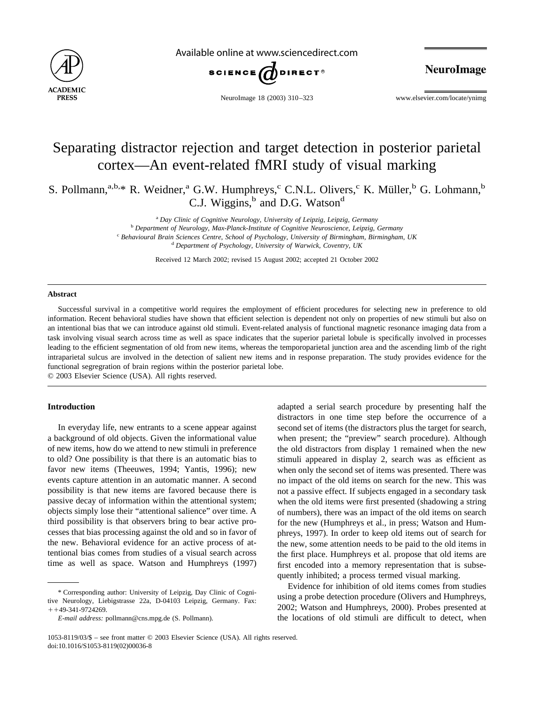

Available online at www.sciencedirect.com



NeuroImage

NeuroImage 18 (2003) 310–323 www.elsevier.com/locate/ynimg

# Separating distractor rejection and target detection in posterior parietal cortex—An event-related fMRI study of visual marking

S. Pollmann,<sup>a,b,\*</sup> R. Weidner,<sup>a</sup> G.W. Humphreys,<sup>c</sup> C.N.L. Olivers,<sup>c</sup> K. Müller,<sup>b</sup> G. Lohmann,<sup>b</sup> C.J. Wiggins, $<sup>b</sup>$  and D.G. Watson<sup>d</sup></sup>

<sup>a</sup> *Day Clinic of Cognitive Neurology, University of Leipzig, Leipzig, Germany*

<sup>b</sup> *Department of Neurology, Max-Planck-Institute of Cognitive Neuroscience, Leipzig, Germany*

<sup>c</sup> *Behavioural Brain Sciences Centre, School of Psychology, University of Birmingham, Birmingham, UK*

<sup>d</sup> *Department of Psychology, University of Warwick, Coventry, UK*

Received 12 March 2002; revised 15 August 2002; accepted 21 October 2002

#### **Abstract**

Successful survival in a competitive world requires the employment of efficient procedures for selecting new in preference to old information. Recent behavioral studies have shown that efficient selection is dependent not only on properties of new stimuli but also on an intentional bias that we can introduce against old stimuli. Event-related analysis of functional magnetic resonance imaging data from a task involving visual search across time as well as space indicates that the superior parietal lobule is specifically involved in processes leading to the efficient segmentation of old from new items, whereas the temporoparietal junction area and the ascending limb of the right intraparietal sulcus are involved in the detection of salient new items and in response preparation. The study provides evidence for the functional segregration of brain regions within the posterior parietal lobe.

© 2003 Elsevier Science (USA). All rights reserved.

#### **Introduction**

In everyday life, new entrants to a scene appear against a background of old objects. Given the informational value of new items, how do we attend to new stimuli in preference to old? One possibility is that there is an automatic bias to favor new items [\(Theeuwes, 1994; Yantis, 1996\);](#page-13-0) new events capture attention in an automatic manner. A second possibility is that new items are favored because there is passive decay of information within the attentional system; objects simply lose their "attentional salience" over time. A third possibility is that observers bring to bear active processes that bias processing against the old and so in favor of the new. Behavioral evidence for an active process of attentional bias comes from studies of a visual search across time as well as space. [Watson and Humphreys \(1997\)](#page-13-0)

adapted a serial search procedure by presenting half the distractors in one time step before the occurrence of a second set of items (the distractors plus the target for search, when present; the "preview" search procedure). Although the old distractors from display 1 remained when the new stimuli appeared in display 2, search was as efficient as when only the second set of items was presented. There was no impact of the old items on search for the new. This was not a passive effect. If subjects engaged in a secondary task when the old items were first presented (shadowing a string of numbers), there was an impact of the old items on search for the new [\(Humphreys et al., in press; Watson and Hum](#page-12-0)[phreys, 1997\)](#page-12-0). In order to keep old items out of search for the new, some attention needs to be paid to the old items in the first place. Humphreys et al. propose that old items are first encoded into a memory representation that is subsequently inhibited; a process termed visual marking.

Evidence for inhibition of old items comes from studies using a probe detection procedure [\(Olivers and Humphreys,](#page-12-0) [2002; Watson and Humphreys, 2000\).](#page-12-0) Probes presented at the locations of old stimuli are difficult to detect, when

<sup>\*</sup> Corresponding author: University of Leipzig, Day Clinic of Cognitive Neurology, Liebigstrasse 22a, D-04103 Leipzig, Germany. Fax:  $++49-341-9724269.$ 

*E-mail address:* pollmann@cns.mpg.de (S. Pollmann).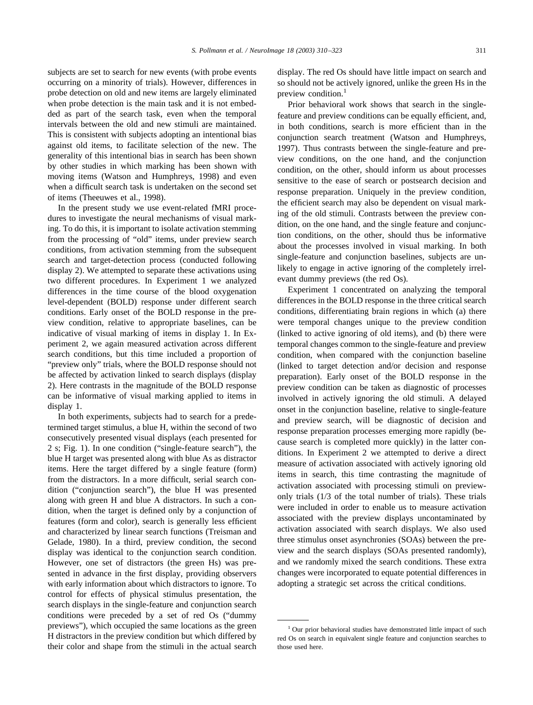subjects are set to search for new events (with probe events occurring on a minority of trials). However, differences in probe detection on old and new items are largely eliminated when probe detection is the main task and it is not embedded as part of the search task, even when the temporal intervals between the old and new stimuli are maintained. This is consistent with subjects adopting an intentional bias against old items, to facilitate selection of the new. The generality of this intentional bias in search has been shown by other studies in which marking has been shown with moving items [\(Watson and Humphreys, 1998\)](#page-13-0) and even when a difficult search task is undertaken on the second set of items [\(Theeuwes et al., 1998\).](#page-13-0)

In the present study we use event-related fMRI procedures to investigate the neural mechanisms of visual marking. To do this, it is important to isolate activation stemming from the processing of "old" items, under preview search conditions, from activation stemming from the subsequent search and target-detection process (conducted following display 2). We attempted to separate these activations using two different procedures. In Experiment 1 we analyzed differences in the time course of the blood oxygenation level-dependent (BOLD) response under different search conditions. Early onset of the BOLD response in the preview condition, relative to appropriate baselines, can be indicative of visual marking of items in display 1. In Experiment 2, we again measured activation across different search conditions, but this time included a proportion of "preview only" trials, where the BOLD response should not be affected by activation linked to search displays (display 2). Here contrasts in the magnitude of the BOLD response can be informative of visual marking applied to items in display 1.

In both experiments, subjects had to search for a predetermined target stimulus, a blue H, within the second of two consecutively presented visual displays (each presented for 2 s; [Fig. 1](#page-2-0)). In one condition ("single-feature search"), the blue H target was presented along with blue As as distractor items. Here the target differed by a single feature (form) from the distractors. In a more difficult, serial search condition ("conjunction search"), the blue H was presented along with green H and blue A distractors. In such a condition, when the target is defined only by a conjunction of features (form and color), search is generally less efficient and characterized by linear search functions [\(Treisman and](#page-13-0) [Gelade, 1980\)](#page-13-0). In a third, preview condition, the second display was identical to the conjunction search condition. However, one set of distractors (the green Hs) was presented in advance in the first display, providing observers with early information about which distractors to ignore. To control for effects of physical stimulus presentation, the search displays in the single-feature and conjunction search conditions were preceded by a set of red Os ("dummy previews"), which occupied the same locations as the green H distractors in the preview condition but which differed by their color and shape from the stimuli in the actual search display. The red Os should have little impact on search and so should not be actively ignored, unlike the green Hs in the preview condition.<sup>1</sup>

Prior behavioral work shows that search in the singlefeature and preview conditions can be equally efficient, and, in both conditions, search is more efficient than in the conjunction search treatment [\(Watson and Humphreys,](#page-13-0) [1997\)](#page-13-0). Thus contrasts between the single-feature and preview conditions, on the one hand, and the conjunction condition, on the other, should inform us about processes sensitive to the ease of search or postsearch decision and response preparation. Uniquely in the preview condition, the efficient search may also be dependent on visual marking of the old stimuli. Contrasts between the preview condition, on the one hand, and the single feature and conjunction conditions, on the other, should thus be informative about the processes involved in visual marking. In both single-feature and conjunction baselines, subjects are unlikely to engage in active ignoring of the completely irrelevant dummy previews (the red Os).

Experiment 1 concentrated on analyzing the temporal differences in the BOLD response in the three critical search conditions, differentiating brain regions in which (a) there were temporal changes unique to the preview condition (linked to active ignoring of old items), and (b) there were temporal changes common to the single-feature and preview condition, when compared with the conjunction baseline (linked to target detection and/or decision and response preparation). Early onset of the BOLD response in the preview condition can be taken as diagnostic of processes involved in actively ignoring the old stimuli. A delayed onset in the conjunction baseline, relative to single-feature and preview search, will be diagnostic of decision and response preparation processes emerging more rapidly (because search is completed more quickly) in the latter conditions. In Experiment 2 we attempted to derive a direct measure of activation associated with actively ignoring old items in search, this time contrasting the magnitude of activation associated with processing stimuli on previewonly trials (1/3 of the total number of trials). These trials were included in order to enable us to measure activation associated with the preview displays uncontaminated by activation associated with search displays. We also used three stimulus onset asynchronies (SOAs) between the preview and the search displays (SOAs presented randomly), and we randomly mixed the search conditions. These extra changes were incorporated to equate potential differences in adopting a strategic set across the critical conditions.

<sup>&</sup>lt;sup>1</sup> Our prior behavioral studies have demonstrated little impact of such red Os on search in equivalent single feature and conjunction searches to those used here.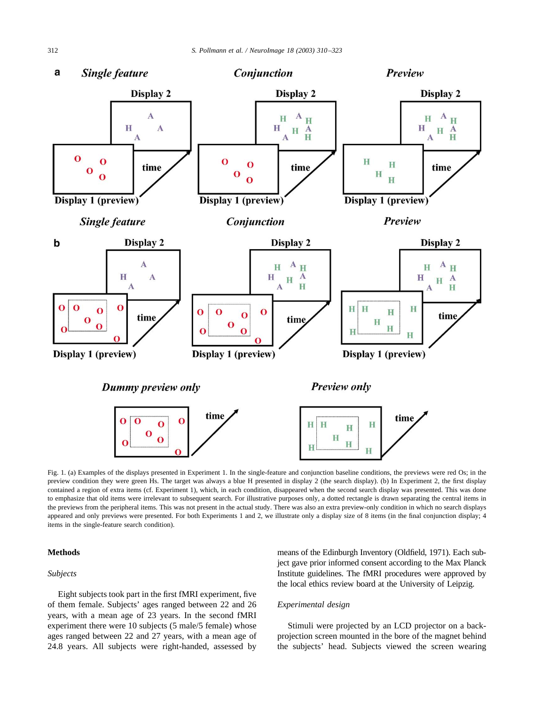<span id="page-2-0"></span>

Fig. 1. (a) Examples of the displays presented in Experiment 1. In the single-feature and conjunction baseline conditions, the previews were red Os; in the preview condition they were green Hs. The target was always a blue H presented in display 2 (the search display). (b) In Experiment 2, the first display contained a region of extra items (cf. Experiment 1), which, in each condition, disappeared when the second search display was presented. This was done to emphasize that old items were irrelevant to subsequent search. For illustrative purposes only, a dotted rectangle is drawn separating the central items in the previews from the peripheral items. This was not present in the actual study. There was also an extra preview-only condition in which no search displays appeared and only previews were presented. For both Experiments 1 and 2, we illustrate only a display size of 8 items (in the final conjunction display; 4 items in the single-feature search condition).

# **Methods**

# *Subjects*

Eight subjects took part in the first fMRI experiment, five of them female. Subjects' ages ranged between 22 and 26 years, with a mean age of 23 years. In the second fMRI experiment there were 10 subjects (5 male/5 female) whose ages ranged between 22 and 27 years, with a mean age of 24.8 years. All subjects were right-handed, assessed by

means of the Edinburgh Inventory [\(Oldfield, 1971\)](#page-12-0). Each subject gave prior informed consent according to the Max Planck Institute guidelines. The fMRI procedures were approved by the local ethics review board at the University of Leipzig.

## *Experimental design*

Stimuli were projected by an LCD projector on a backprojection screen mounted in the bore of the magnet behind the subjects' head. Subjects viewed the screen wearing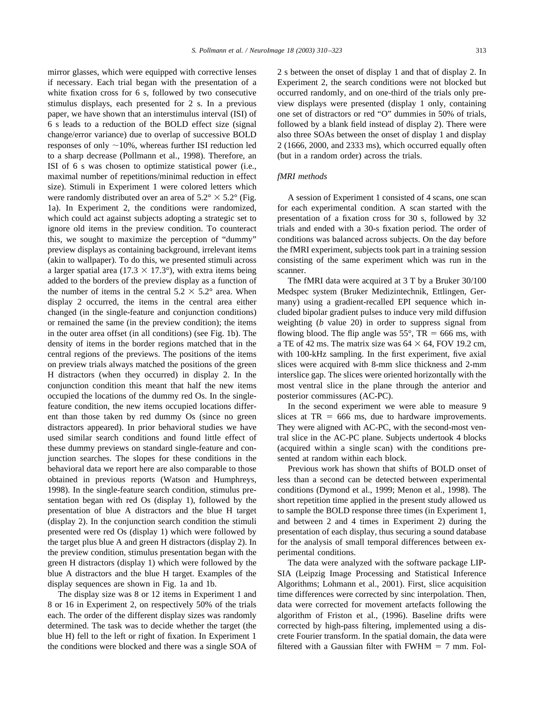mirror glasses, which were equipped with corrective lenses if necessary. Each trial began with the presentation of a white fixation cross for 6 s, followed by two consecutive stimulus displays, each presented for 2 s. In a previous paper, we have shown that an interstimulus interval (ISI) of 6 s leads to a reduction of the BOLD effect size (signal change/error variance) due to overlap of successive BOLD responses of only  $\sim$ 10%, whereas further ISI reduction led to a sharp decrease [\(Pollmann et al., 1998\)](#page-12-0). Therefore, an ISI of 6 s was chosen to optimize statistical power (i.e., maximal number of repetitions/minimal reduction in effect size). Stimuli in Experiment 1 were colored letters which were randomly distributed over an area of  $5.2^{\circ} \times 5.2^{\circ}$  ([Fig.](#page-2-0) [1a](#page-2-0)). In Experiment 2, the conditions were randomized, which could act against subjects adopting a strategic set to ignore old items in the preview condition. To counteract this, we sought to maximize the perception of "dummy" preview displays as containing background, irrelevant items (akin to wallpaper). To do this, we presented stimuli across a larger spatial area (17.3  $\times$  17.3°), with extra items being added to the borders of the preview display as a function of the number of items in the central  $5.2 \times 5.2^{\circ}$  area. When display 2 occurred, the items in the central area either changed (in the single-feature and conjunction conditions) or remained the same (in the preview condition); the items in the outer area offset (in all conditions) (see [Fig. 1b\)](#page-2-0). The density of items in the border regions matched that in the central regions of the previews. The positions of the items on preview trials always matched the positions of the green H distractors (when they occurred) in display 2. In the conjunction condition this meant that half the new items occupied the locations of the dummy red Os. In the singlefeature condition, the new items occupied locations different than those taken by red dummy Os (since no green distractors appeared). In prior behavioral studies we have used similar search conditions and found little effect of these dummy previews on standard single-feature and conjunction searches. The slopes for these conditions in the behavioral data we report here are also comparable to those obtained in previous reports [\(Watson and Humphreys,](#page-13-0) [1998\)](#page-13-0). In the single-feature search condition, stimulus presentation began with red Os (display 1), followed by the presentation of blue A distractors and the blue H target (display 2). In the conjunction search condition the stimuli presented were red Os (display 1) which were followed by the target plus blue A and green H distractors (display 2). In the preview condition, stimulus presentation began with the green H distractors (display 1) which were followed by the blue A distractors and the blue H target. Examples of the display sequences are shown in [Fig. 1a and 1b.](#page-2-0)

The display size was 8 or 12 items in Experiment 1 and 8 or 16 in Experiment 2, on respectively 50% of the trials each. The order of the different display sizes was randomly determined. The task was to decide whether the target (the blue H) fell to the left or right of fixation. In Experiment 1 the conditions were blocked and there was a single SOA of 2 s between the onset of display 1 and that of display 2. In Experiment 2, the search conditions were not blocked but occurred randomly, and on one-third of the trials only preview displays were presented (display 1 only, containing one set of distractors or red "O" dummies in 50% of trials, followed by a blank field instead of display 2). There were also three SOAs between the onset of display 1 and display 2 (1666, 2000, and 2333 ms), which occurred equally often (but in a random order) across the trials.

#### *fMRI methods*

A session of Experiment 1 consisted of 4 scans, one scan for each experimental condition. A scan started with the presentation of a fixation cross for 30 s, followed by 32 trials and ended with a 30-s fixation period. The order of conditions was balanced across subjects. On the day before the fMRI experiment, subjects took part in a training session consisting of the same experiment which was run in the scanner.

The fMRI data were acquired at 3 T by a Bruker 30/100 Medspec system (Bruker Medizintechnik, Ettlingen, Germany) using a gradient-recalled EPI sequence which included bipolar gradient pulses to induce very mild diffusion weighting (*b* value 20) in order to suppress signal from flowing blood. The flip angle was  $55^{\circ}$ , TR = 666 ms, with a TE of 42 ms. The matrix size was  $64 \times 64$ , FOV 19.2 cm, with 100-kHz sampling. In the first experiment, five axial slices were acquired with 8-mm slice thickness and 2-mm interslice gap. The slices were oriented horizontally with the most ventral slice in the plane through the anterior and posterior commissures (AC-PC).

In the second experiment we were able to measure 9 slices at  $TR = 666$  ms, due to hardware improvements. They were aligned with AC-PC, with the second-most ventral slice in the AC-PC plane. Subjects undertook 4 blocks (acquired within a single scan) with the conditions presented at random within each block.

Previous work has shown that shifts of BOLD onset of less than a second can be detected between experimental conditions [\(Dymond et al., 1999; Menon et al., 1998\)](#page-12-0). The short repetition time applied in the present study allowed us to sample the BOLD response three times (in Experiment 1, and between 2 and 4 times in Experiment 2) during the presentation of each display, thus securing a sound database for the analysis of small temporal differences between experimental conditions.

The data were analyzed with the software package LIP-SIA (Leipzig Image Processing and Statistical Inference Algorithms; [Lohmann et al., 2001\)](#page-12-0). First, slice acquisition time differences were corrected by sinc interpolation. Then, data were corrected for movement artefacts following the algorithm of [Friston et al., \(1996\).](#page-12-0) Baseline drifts were corrected by high-pass filtering, implemented using a discrete Fourier transform. In the spatial domain, the data were filtered with a Gaussian filter with  $FWHM = 7$  mm. Fol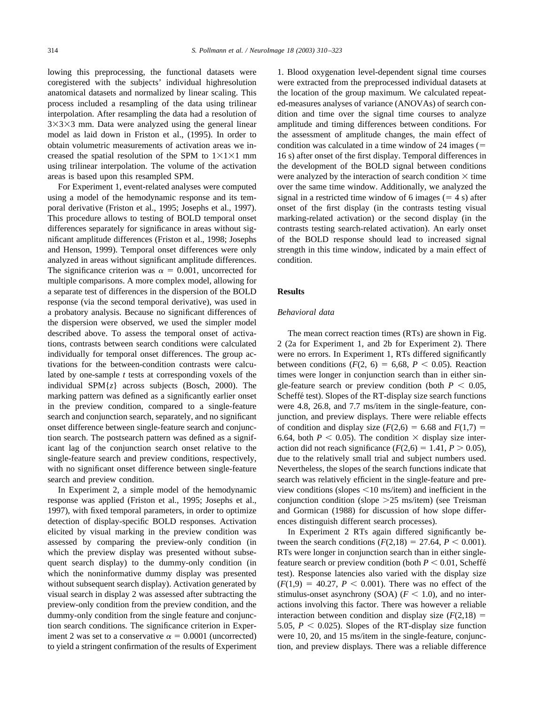lowing this preprocessing, the functional datasets were coregistered with the subjects' individual highresolution anatomical datasets and normalized by linear scaling. This process included a resampling of the data using trilinear interpolation. After resampling the data had a resolution of  $3\times3\times3$  mm. Data were analyzed using the general linear model as laid down in [Friston et al., \(1995\)](#page-12-0). In order to obtain volumetric measurements of activation areas we increased the spatial resolution of the SPM to  $1 \times 1 \times 1$  mm using trilinear interpolation. The volume of the activation areas is based upon this resampled SPM.

For Experiment 1, event-related analyses were computed using a model of the hemodynamic response and its temporal derivative [\(Friston et al., 1995; Josephs et al., 1997\)](#page-12-0). This procedure allows to testing of BOLD temporal onset differences separately for significance in areas without significant amplitude differences [\(Friston et al., 1998; Josephs](#page-12-0) [and Henson, 1999\).](#page-12-0) Temporal onset differences were only analyzed in areas without significant amplitude differences. The significance criterion was  $\alpha = 0.001$ , uncorrected for multiple comparisons. A more complex model, allowing for a separate test of differences in the dispersion of the BOLD response (via the second temporal derivative), was used in a probatory analysis. Because no significant differences of the dispersion were observed, we used the simpler model described above. To assess the temporal onset of activations, contrasts between search conditions were calculated individually for temporal onset differences. The group activations for the between-condition contrasts were calculated by one-sample *t* tests at corresponding voxels of the individual SPM{*z*} across subjects [\(Bosch, 2000\).](#page-12-0) The marking pattern was defined as a significantly earlier onset in the preview condition, compared to a single-feature search and conjunction search, separately, and no significant onset difference between single-feature search and conjunction search. The postsearch pattern was defined as a significant lag of the conjunction search onset relative to the single-feature search and preview conditions, respectively, with no significant onset difference between single-feature search and preview condition.

In Experiment 2, a simple model of the hemodynamic response was applied [\(Friston et al., 1995; Josephs et al.,](#page-12-0) [1997\)](#page-12-0), with fixed temporal parameters, in order to optimize detection of display-specific BOLD responses. Activation elicited by visual marking in the preview condition was assessed by comparing the preview-only condition (in which the preview display was presented without subsequent search display) to the dummy-only condition (in which the noninformative dummy display was presented without subsequent search display). Activation generated by visual search in display 2 was assessed after subtracting the preview-only condition from the preview condition, and the dummy-only condition from the single feature and conjunction search conditions. The significance criterion in Experiment 2 was set to a conservative  $\alpha = 0.0001$  (uncorrected) to yield a stringent confirmation of the results of Experiment

1. Blood oxygenation level-dependent signal time courses were extracted from the preprocessed individual datasets at the location of the group maximum. We calculated repeated-measures analyses of variance (ANOVAs) of search condition and time over the signal time courses to analyze amplitude and timing differences between conditions. For the assessment of amplitude changes, the main effect of condition was calculated in a time window of 24 images ( 16 s) after onset of the first display. Temporal differences in the development of the BOLD signal between conditions were analyzed by the interaction of search condition  $\times$  time over the same time window. Additionally, we analyzed the signal in a restricted time window of 6 images  $(= 4 s)$  after onset of the first display (in the contrasts testing visual marking-related activation) or the second display (in the contrasts testing search-related activation). An early onset of the BOLD response should lead to increased signal strength in this time window, indicated by a main effect of condition.

## **Results**

#### *Behavioral data*

The mean correct reaction times (RTs) are shown in [Fig.](#page-5-0) [2](#page-5-0) (2a for Experiment 1, and 2b for Experiment 2). There were no errors. In Experiment 1, RTs differed significantly between conditions  $(F(2, 6) = 6,68, P < 0.05)$ . Reaction times were longer in conjunction search than in either single-feature search or preview condition (both  $P < 0.05$ , Scheffé test). Slopes of the RT-display size search functions were 4.8, 26.8, and 7.7 ms/item in the single-feature, conjunction, and preview displays. There were reliable effects of condition and display size  $(F(2,6) = 6.68$  and  $F(1,7) =$ 6.64, both  $P < 0.05$ ). The condition  $\times$  display size interaction did not reach significance  $(F(2,6) = 1.41, P > 0.05)$ , due to the relatively small trial and subject numbers used. Nevertheless, the slopes of the search functions indicate that search was relatively efficient in the single-feature and preview conditions (slopes  $\leq 10$  ms/item) and inefficient in the conjunction condition (slope 25 ms/item) (see [Treisman](#page-13-0) [and Gormican \(1988\)](#page-13-0) for discussion of how slope differences distinguish different search processes).

In Experiment 2 RTs again differed significantly between the search conditions  $(F(2,18) = 27.64, P < 0.001)$ . RTs were longer in conjunction search than in either singlefeature search or preview condition (both  $P \leq 0.01$ , Scheffé test). Response latencies also varied with the display size  $(F(1,9) = 40.27, P < 0.001)$ . There was no effect of the stimulus-onset asynchrony (SOA)  $(F < 1.0)$ , and no interactions involving this factor. There was however a reliable interaction between condition and display size  $(F(2,18))$  = 5.05,  $P < 0.025$ ). Slopes of the RT-display size function were 10, 20, and 15 ms/item in the single-feature, conjunction, and preview displays. There was a reliable difference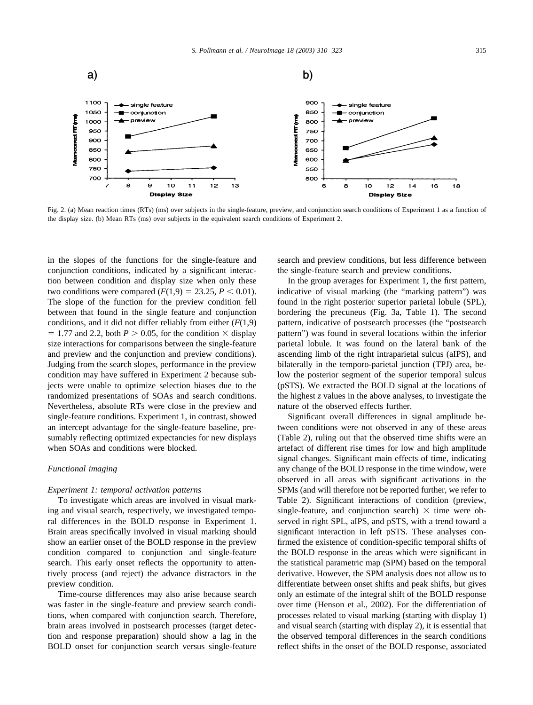<span id="page-5-0"></span>

Fig. 2. (a) Mean reaction times (RTs) (ms) over subjects in the single-feature, preview, and conjunction search conditions of Experiment 1 as a function of the display size. (b) Mean RTs (ms) over subjects in the equivalent search conditions of Experiment 2.

in the slopes of the functions for the single-feature and conjunction conditions, indicated by a significant interaction between condition and display size when only these two conditions were compared  $(F(1,9) = 23.25, P \le 0.01)$ . The slope of the function for the preview condition fell between that found in the single feature and conjunction conditions, and it did not differ reliably from either  $(F(1,9))$  $= 1.77$  and 2.2, both  $P > 0.05$ , for the condition  $\times$  display size interactions for comparisons between the single-feature and preview and the conjunction and preview conditions). Judging from the search slopes, performance in the preview condition may have suffered in Experiment 2 because subjects were unable to optimize selection biases due to the randomized presentations of SOAs and search conditions. Nevertheless, absolute RTs were close in the preview and single-feature conditions. Experiment 1, in contrast, showed an intercept advantage for the single-feature baseline, presumably reflecting optimized expectancies for new displays when SOAs and conditions were blocked.

#### *Functional imaging*

#### *Experiment 1: temporal activation patterns*

To investigate which areas are involved in visual marking and visual search, respectively, we investigated temporal differences in the BOLD response in Experiment 1. Brain areas specifically involved in visual marking should show an earlier onset of the BOLD response in the preview condition compared to conjunction and single-feature search. This early onset reflects the opportunity to attentively process (and reject) the advance distractors in the preview condition.

Time-course differences may also arise because search was faster in the single-feature and preview search conditions, when compared with conjunction search. Therefore, brain areas involved in postsearch processes (target detection and response preparation) should show a lag in the BOLD onset for conjunction search versus single-feature search and preview conditions, but less difference between the single-feature search and preview conditions.

In the group averages for Experiment 1, the first pattern, indicative of visual marking (the "marking pattern") was found in the right posterior superior parietal lobule (SPL), bordering the precuneus ([Fig. 3a](#page-6-0), [Table 1](#page-8-0)). The second pattern, indicative of postsearch processes (the "postsearch pattern") was found in several locations within the inferior parietal lobule. It was found on the lateral bank of the ascending limb of the right intraparietal sulcus (aIPS), and bilaterally in the temporo-parietal junction (TPJ) area, below the posterior segment of the superior temporal sulcus (pSTS). We extracted the BOLD signal at the locations of the highest *z* values in the above analyses, to investigate the nature of the observed effects further.

Significant overall differences in signal amplitude between conditions were not observed in any of these areas [\(Table 2](#page-8-0)), ruling out that the observed time shifts were an artefact of different rise times for low and high amplitude signal changes. Significant main effects of time, indicating any change of the BOLD response in the time window, were observed in all areas with significant activations in the SPMs (and will therefore not be reported further, we refer to [Table 2\)](#page-8-0). Significant interactions of condition (preview, single-feature, and conjunction search)  $\times$  time were observed in right SPL, aIPS, and pSTS, with a trend toward a significant interaction in left pSTS. These analyses confirmed the existence of condition-specific temporal shifts of the BOLD response in the areas which were significant in the statistical parametric map (SPM) based on the temporal derivative. However, the SPM analysis does not allow us to differentiate between onset shifts and peak shifts, but gives only an estimate of the integral shift of the BOLD response over time [\(Henson et al., 2002\).](#page-12-0) For the differentiation of processes related to visual marking (starting with display 1) and visual search (starting with display 2), it is essential that the observed temporal differences in the search conditions reflect shifts in the onset of the BOLD response, associated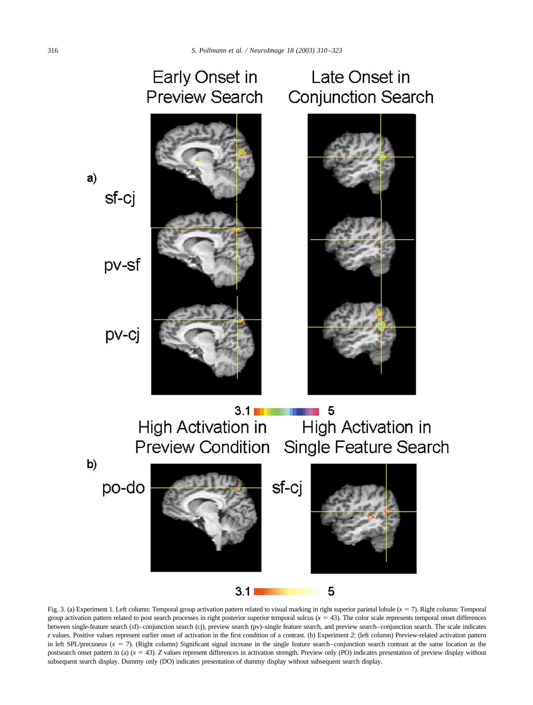<span id="page-6-0"></span>

Fig. 3. (a) Experiment 1. Left column: Temporal group activation pattern related to visual marking in right superior parietal lobule  $(x = 7)$ . Right column: Temporal group activation pattern related to post search processes in right posterior superior temporal sulcus  $(x = 43)$ . The color scale represents temporal onset differences between single-feature search (sf)–conjunction search (cj), preview search (pv)–single feature search, and preview search–conjunction search. The scale indicates *z* values. Positive values represent earlier onset of activation in the first condition of a contrast. (b) Experiment 2: (left column) Preview-related activation pattern in left SPL/precuneus  $(x = 7)$ . (Right column) Significant signal increase in the single feature search–conjunction search contrast at the same location as the postsearch onset pattern in (a) ( $x = 43$ ). *Z* values represent differences in activation strength. Preview only (PO) indicates presentation of preview display without subsequent search display. Dummy only (DO) indicates presentation of dummy display without subsequent search display.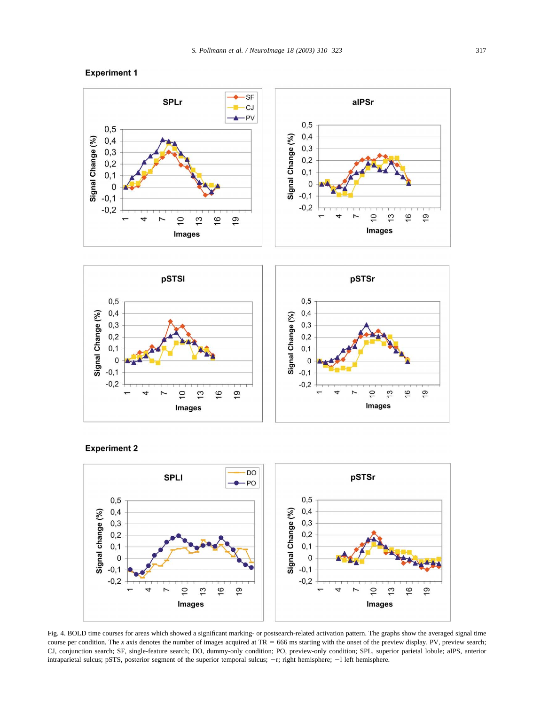<span id="page-7-0"></span>

## **Experiment 1**



**Experiment 2** 



Fig. 4. BOLD time courses for areas which showed a significant marking- or postsearch-related activation pattern. The graphs show the averaged signal time course per condition. The *x* axis denotes the number of images acquired at  $TR = 666$  ms starting with the onset of the preview display. PV, preview search; CJ, conjunction search; SF, single-feature search; DO, dummy-only condition; PO, preview-only condition; SPL, superior parietal lobule; aIPS, anterior intraparietal sulcus; pSTS, posterior segment of the superior temporal sulcus; -r; right hemisphere; -l left hemisphere.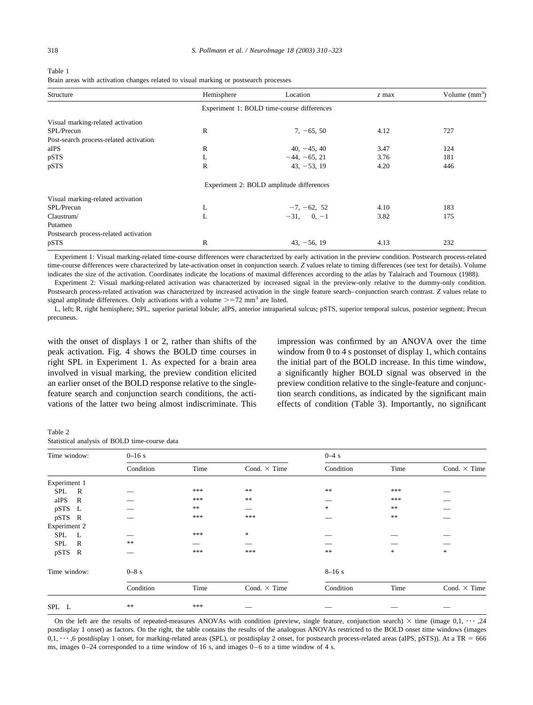<span id="page-8-0"></span>

| Table 1                                                                               |  |
|---------------------------------------------------------------------------------------|--|
| Brain areas with activation changes related to visual marking or postsearch processes |  |

| Structure                              | Hemisphere | Location                                   | z max | Volume $(mm^3)$ |  |  |
|----------------------------------------|------------|--------------------------------------------|-------|-----------------|--|--|
|                                        |            | Experiment 1: BOLD time-course differences |       |                 |  |  |
| Visual marking-related activation      |            |                                            |       |                 |  |  |
| SPL/Precun                             | R          | $7, -65, 50$                               | 4.12  | 727             |  |  |
| Post-search process-related activation |            |                                            |       |                 |  |  |
| aIPS                                   | R          | $40, -45, 40$                              | 3.47  | 124             |  |  |
| pSTS                                   | L          | $-44, -65, 21$                             | 3.76  | 181             |  |  |
| pSTS                                   | R          | $43, -53, 19$                              | 4.20  | 446             |  |  |
|                                        |            | Experiment 2: BOLD amplitude differences   |       |                 |  |  |
| Visual marking-related activation      |            |                                            |       |                 |  |  |
| SPL/Precun                             | L          | $-7, -62, 52$                              | 4.10  | 183             |  |  |
| Claustrum/                             | L          | $-31, 0, -1$                               | 3.82  | 175             |  |  |
| Putamen                                |            |                                            |       |                 |  |  |
| Postsearch process-related activation  |            |                                            |       |                 |  |  |
| pSTS                                   | R          | $43, -56, 19$                              | 4.13  | 232             |  |  |

Experiment 1: Visual marking-related time-course differences were characterized by early activation in the preview condition. Postsearch process-related time-course differences were characterized by late-activation onset in conjunction search. *Z* values relate to timing differences (see text for details). Volume indicates the size of the activation. Coordinates indicate the locations of maximal differences according to the atlas by [Talairach and Tournoux \(1988\).](#page-13-0)

Experiment 2: Visual marking-related activation was characterized by increased signal in the preview-only relative to the dummy-only condition. Postsearch process-related activation was characterized by increased activation in the single feature search–conjunction search contrast. *Z* values relate to signal amplitude differences. Only activations with a volume  $\geq$ =72 mm<sup>3</sup> are listed.

L, left; R, right hemisphere; SPL, superior parietal lobule; aIPS, anterior intraparietal sulcus; pSTS, superior temporal sulcus, posterior segment; Precun precuneus.

with the onset of displays 1 or 2, rather than shifts of the peak activation. [Fig. 4](#page-7-0) shows the BOLD time courses in right SPL in Experiment 1. As expected for a brain area involved in visual marking, the preview condition elicited an earlier onset of the BOLD response relative to the singlefeature search and conjunction search conditions, the activations of the latter two being almost indiscriminate. This impression was confirmed by an ANOVA over the time window from 0 to 4 s postonset of display 1, which contains the initial part of the BOLD increase. In this time window, a significantly higher BOLD signal was observed in the preview condition relative to the single-feature and conjunction search conditions, as indicated by the significant main effects of condition [\(Table 3](#page-9-0)). Importantly, no significant

Table 2 Statistical analysis of BOLD time-course data

| Time window:        | $0 - 16 s$    |      |                     | $0-4$ s       |               |                     |
|---------------------|---------------|------|---------------------|---------------|---------------|---------------------|
|                     | Condition     | Time | Cond. $\times$ Time | Condition     | Time          | Cond. $\times$ Time |
| Experiment 1        |               |      |                     |               |               |                     |
| SPL<br>$\mathbf R$  |               | ***  | $**$                | $\ast$ $\ast$ | ***           |                     |
| aIPS<br>R           |               | ***  | **                  |               | ***           |                     |
| pSTS L              |               | **   |                     | *             | $\ast\ast$    |                     |
| pSTS R              |               | ***  | ***                 |               | $\ast$ $\ast$ |                     |
| Experiment 2        |               |      |                     |               |               |                     |
| SPL<br>L            |               | ***  | $\ast$              |               |               |                     |
| SPL<br>R            | **            |      |                     |               |               |                     |
| pSTS<br>$\mathbf R$ |               | ***  | ***                 | $\ast$ $\ast$ | $\ast$        | $*$                 |
| Time window:        | $0-8$ s       |      |                     | $8-16 s$      |               |                     |
|                     | Condition     | Time | Cond. $\times$ Time | Condition     | Time          | Cond. $\times$ Time |
| SPL L               | $\ast$ $\ast$ | ***  |                     |               |               |                     |

On the left are the results of repeated-measures ANOVAs with condition (preview, single feature, conjunction search)  $\times$  time (image 0,1,  $\cdots$ , 24 postdisplay 1 onset) as factors. On the right, the table contains the results of the analogous ANOVAs restricted to the BOLD onset time windows (images  $0,1, \dots, 6$  postdisplay 1 onset, for marking-related areas (SPL), or postdisplay 2 onset, for postsearch process-related areas (aIPS, pSTS)). At a TR = 666 ms, images 0–24 corresponded to a time window of 16 s, and images 0–6 to a time window of 4 s.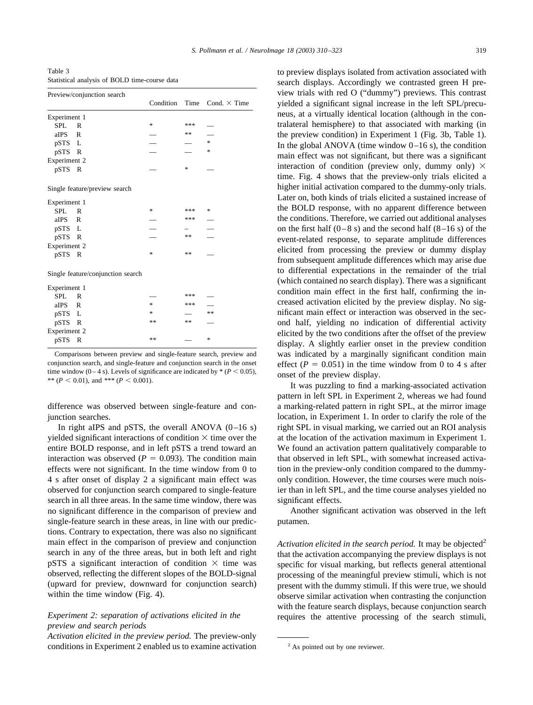<span id="page-9-0"></span>Table 3 Statistical analysis of BOLD time-course data

|              | Preview/conjunction search        |           |     |                          |
|--------------|-----------------------------------|-----------|-----|--------------------------|
|              |                                   | Condition |     | Time Cond. $\times$ Time |
| Experiment 1 |                                   |           |     |                          |
| SPL.         | R                                 | *         | *** |                          |
| aIPS R       |                                   |           | **  |                          |
| pSTS L       |                                   |           |     | $*$                      |
| pSTS R       |                                   |           |     | *                        |
| Experiment 2 |                                   |           |     |                          |
| pSTS R       |                                   |           | $*$ |                          |
|              | Single feature/preview search     |           |     |                          |
| Experiment 1 |                                   |           |     |                          |
| SPL.         | $\mathbf R$                       | *         | *** | $*$                      |
| aIPS R       |                                   |           | *** |                          |
| pSTS L       |                                   |           | —   |                          |
| pSTS R       |                                   |           | **  |                          |
| Experiment 2 |                                   |           |     |                          |
| pSTS R       |                                   | ∗         | **  |                          |
|              | Single feature/conjunction search |           |     |                          |
| Experiment 1 |                                   |           |     |                          |
| <b>SPL</b>   | R                                 |           | *** |                          |
| aIPS R       |                                   | *         | *** |                          |
| pSTS L       |                                   | *         |     | **                       |
| pSTS         | $\mathbb{R}$                      | **        | **  |                          |
| Experiment 2 |                                   |           |     |                          |
| pSTS R       |                                   | **        |     | *                        |
|              |                                   |           |     |                          |

Comparisons between preview and single-feature search, preview and conjunction search, and single-feature and conjunction search in the onset time window  $(0-4 s)$ . Levels of significance are indicated by  $*(P < 0.05)$ , \*\* ( $P < 0.01$ ), and \*\*\* ( $P < 0.001$ ).

difference was observed between single-feature and conjunction searches.

In right aIPS and pSTS, the overall ANOVA  $(0-16 s)$ yielded significant interactions of condition  $\times$  time over the entire BOLD response, and in left pSTS a trend toward an interaction was observed ( $P = 0.093$ ). The condition main effects were not significant. In the time window from 0 to 4 s after onset of display 2 a significant main effect was observed for conjunction search compared to single-feature search in all three areas. In the same time window, there was no significant difference in the comparison of preview and single-feature search in these areas, in line with our predictions. Contrary to expectation, there was also no significant main effect in the comparison of preview and conjunction search in any of the three areas, but in both left and right pSTS a significant interaction of condition  $\times$  time was observed, reflecting the different slopes of the BOLD-signal (upward for preview, downward for conjunction search) within the time window [\(Fig. 4](#page-7-0)).

## *Experiment 2: separation of activations elicited in the preview and search periods*

*Activation elicited in the preview period.* The preview-only conditions in Experiment 2 enabled us to examine activation to preview displays isolated from activation associated with search displays. Accordingly we contrasted green H preview trials with red O ("dummy") previews. This contrast yielded a significant signal increase in the left SPL/precuneus, at a virtually identical location (although in the contralateral hemisphere) to that associated with marking (in the preview condition) in Experiment 1 ([Fig. 3b,](#page-6-0) [Table 1\)](#page-8-0). In the global ANOVA (time window  $0-16$  s), the condition main effect was not significant, but there was a significant interaction of condition (preview only, dummy only)  $\times$ time. [Fig. 4](#page-7-0) shows that the preview-only trials elicited a higher initial activation compared to the dummy-only trials. Later on, both kinds of trials elicited a sustained increase of the BOLD response, with no apparent difference between the conditions. Therefore, we carried out additional analyses on the first half  $(0-8 s)$  and the second half  $(8-16 s)$  of the event-related response, to separate amplitude differences elicited from processing the preview or dummy display from subsequent amplitude differences which may arise due to differential expectations in the remainder of the trial (which contained no search display). There was a significant condition main effect in the first half, confirming the increased activation elicited by the preview display. No significant main effect or interaction was observed in the second half, yielding no indication of differential activity elicited by the two conditions after the offset of the preview display. A slightly earlier onset in the preview condition was indicated by a marginally significant condition main effect  $(P = 0.051)$  in the time window from 0 to 4 s after onset of the preview display.

It was puzzling to find a marking-associated activation pattern in left SPL in Experiment 2, whereas we had found a marking-related pattern in right SPL, at the mirror image location, in Experiment 1. In order to clarify the role of the right SPL in visual marking, we carried out an ROI analysis at the location of the activation maximum in Experiment 1. We found an activation pattern qualitatively comparable to that observed in left SPL, with somewhat increased activation in the preview-only condition compared to the dummyonly condition. However, the time courses were much noisier than in left SPL, and the time course analyses yielded no significant effects.

Another significant activation was observed in the left putamen.

Activation elicited in the search period. It may be objected<sup>2</sup> that the activation accompanying the preview displays is not specific for visual marking, but reflects general attentional processing of the meaningful preview stimuli, which is not present with the dummy stimuli. If this were true, we should observe similar activation when contrasting the conjunction with the feature search displays, because conjunction search requires the attentive processing of the search stimuli,

<sup>&</sup>lt;sup>2</sup> As pointed out by one reviewer.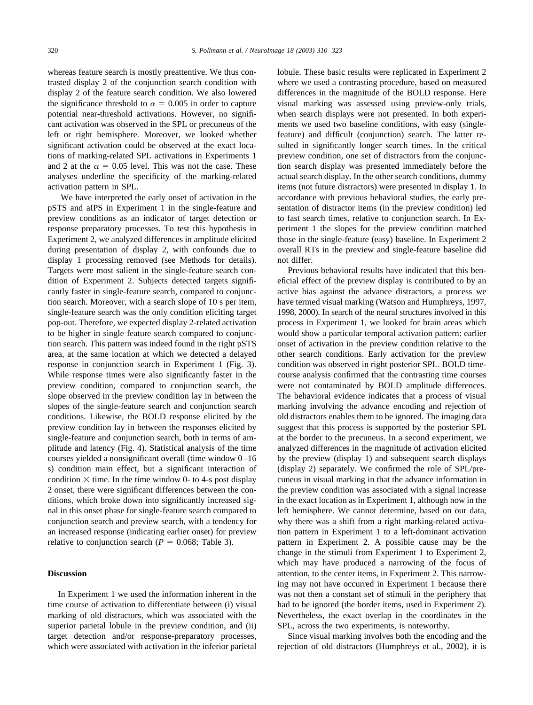whereas feature search is mostly preattentive. We thus contrasted display 2 of the conjunction search condition with display 2 of the feature search condition. We also lowered the significance threshold to  $\alpha = 0.005$  in order to capture potential near-threshold activations. However, no significant activation was observed in the SPL or precuneus of the left or right hemisphere. Moreover, we looked whether significant activation could be observed at the exact locations of marking-related SPL activations in Experiments 1 and 2 at the  $\alpha = 0.05$  level. This was not the case. These analyses underline the specificity of the marking-related activation pattern in SPL.

We have interpreted the early onset of activation in the pSTS and aIPS in Experiment 1 in the single-feature and preview conditions as an indicator of target detection or response preparatory processes. To test this hypothesis in Experiment 2, we analyzed differences in amplitude elicited during presentation of display 2, with confounds due to display 1 processing removed (see Methods for details). Targets were most salient in the single-feature search condition of Experiment 2. Subjects detected targets significantly faster in single-feature search, compared to conjunction search. Moreover, with a search slope of 10 s per item, single-feature search was the only condition eliciting target pop-out. Therefore, we expected display 2-related activation to be higher in single feature search compared to conjunction search. This pattern was indeed found in the right pSTS area, at the same location at which we detected a delayed response in conjunction search in Experiment 1 ([Fig. 3\)](#page-6-0). While response times were also significantly faster in the preview condition, compared to conjunction search, the slope observed in the preview condition lay in between the slopes of the single-feature search and conjunction search conditions. Likewise, the BOLD response elicited by the preview condition lay in between the responses elicited by single-feature and conjunction search, both in terms of amplitude and latency ([Fig. 4\)](#page-7-0). Statistical analysis of the time courses yielded a nonsignificant overall (time window 0–16 s) condition main effect, but a significant interaction of condition  $\times$  time. In the time window 0- to 4-s post display 2 onset, there were significant differences between the conditions, which broke down into significantly increased signal in this onset phase for single-feature search compared to conjunction search and preview search, with a tendency for an increased response (indicating earlier onset) for preview relative to conjunction search ( $P = 0.068$ ; [Table 3\)](#page-9-0).

## **Discussion**

In Experiment 1 we used the information inherent in the time course of activation to differentiate between (i) visual marking of old distractors, which was associated with the superior parietal lobule in the preview condition, and (ii) target detection and/or response-preparatory processes, which were associated with activation in the inferior parietal lobule. These basic results were replicated in Experiment 2 where we used a contrasting procedure, based on measured differences in the magnitude of the BOLD response. Here visual marking was assessed using preview-only trials, when search displays were not presented. In both experiments we used two baseline conditions, with easy (singlefeature) and difficult (conjunction) search. The latter resulted in significantly longer search times. In the critical preview condition, one set of distractors from the conjunction search display was presented immediately before the actual search display. In the other search conditions, dummy items (not future distractors) were presented in display 1. In accordance with previous behavioral studies, the early presentation of distractor items (in the preview condition) led to fast search times, relative to conjunction search. In Experiment 1 the slopes for the preview condition matched those in the single-feature (easy) baseline. In Experiment 2 overall RTs in the preview and single-feature baseline did not differ.

Previous behavioral results have indicated that this beneficial effect of the preview display is contributed to by an active bias against the advance distractors, a process we have termed visual marking [\(Watson and Humphreys, 1997,](#page-13-0) [1998, 2000\)](#page-13-0). In search of the neural structures involved in this process in Experiment 1, we looked for brain areas which would show a particular temporal activation pattern: earlier onset of activation in the preview condition relative to the other search conditions. Early activation for the preview condition was observed in right posterior SPL. BOLD timecourse analysis confirmed that the contrasting time courses were not contaminated by BOLD amplitude differences. The behavioral evidence indicates that a process of visual marking involving the advance encoding and rejection of old distractors enables them to be ignored. The imaging data suggest that this process is supported by the posterior SPL at the border to the precuneus. In a second experiment, we analyzed differences in the magnitude of activation elicited by the preview (display 1) and subsequent search displays (display 2) separately. We confirmed the role of SPL/precuneus in visual marking in that the advance information in the preview condition was associated with a signal increase in the exact location as in Experiment 1, although now in the left hemisphere. We cannot determine, based on our data, why there was a shift from a right marking-related activation pattern in Experiment 1 to a left-dominant activation pattern in Experiment 2. A possible cause may be the change in the stimuli from Experiment 1 to Experiment 2, which may have produced a narrowing of the focus of attention, to the center items, in Experiment 2. This narrowing may not have occurred in Experiment 1 because there was not then a constant set of stimuli in the periphery that had to be ignored (the border items, used in Experiment 2). Nevertheless, the exact overlap in the coordinates in the SPL, across the two experiments, is noteworthy.

Since visual marking involves both the encoding and the rejection of old distractors [\(Humphreys et al., 2002\)](#page-12-0), it is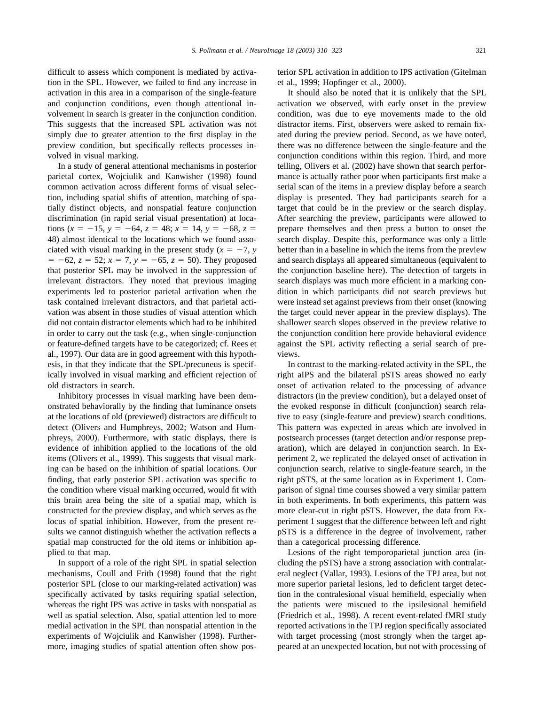difficult to assess which component is mediated by activation in the SPL. However, we failed to find any increase in activation in this area in a comparison of the single-feature and conjunction conditions, even though attentional involvement in search is greater in the conjunction condition. This suggests that the increased SPL activation was not simply due to greater attention to the first display in the preview condition, but specifically reflects processes involved in visual marking.

In a study of general attentional mechanisms in posterior parietal cortex, [Wojciulik and Kanwisher \(1998\)](#page-13-0) found common activation across different forms of visual selection, including spatial shifts of attention, matching of spatially distinct objects, and nonspatial feature conjunction discrimination (in rapid serial visual presentation) at locations  $(x = -15, y = -64, z = 48; x = 14, y = -68, z =$ 48) almost identical to the locations which we found associated with visual marking in the present study  $(x = -7, y)$  $= -62$ ,  $z = 52$ ;  $x = 7$ ,  $y = -65$ ,  $z = 50$ ). They proposed that posterior SPL may be involved in the suppression of irrelevant distractors. They noted that previous imaging experiments led to posterior parietal activation when the task contained irrelevant distractors, and that parietal activation was absent in those studies of visual attention which did not contain distractor elements which had to be inhibited in order to carry out the task (e.g., when single-conjunction or feature-defined targets have to be categorized; cf. [Rees et](#page-12-0) [al., 1997\).](#page-12-0) Our data are in good agreement with this hypothesis, in that they indicate that the SPL/precuneus is specifically involved in visual marking and efficient rejection of old distractors in search.

Inhibitory processes in visual marking have been demonstrated behaviorally by the finding that luminance onsets at the locations of old (previewed) distractors are difficult to detect [\(Olivers and Humphreys, 2002; Watson and Hum](#page-12-0)[phreys, 2000\).](#page-12-0) Furthermore, with static displays, there is evidence of inhibition applied to the locations of the old items [\(Olivers et al., 1999\)](#page-12-0). This suggests that visual marking can be based on the inhibition of spatial locations. Our finding, that early posterior SPL activation was specific to the condition where visual marking occurred, would fit with this brain area being the site of a spatial map, which is constructed for the preview display, and which serves as the locus of spatial inhibition. However, from the present results we cannot distinguish whether the activation reflects a spatial map constructed for the old items or inhibition applied to that map.

In support of a role of the right SPL in spatial selection mechanisms, [Coull and Frith \(1998\)](#page-12-0) found that the right posterior SPL (close to our marking-related activation) was specifically activated by tasks requiring spatial selection, whereas the right IPS was active in tasks with nonspatial as well as spatial selection. Also, spatial attention led to more medial activation in the SPL than nonspatial attention in the experiments of [Wojciulik and Kanwisher \(1998\).](#page-13-0) Furthermore, imaging studies of spatial attention often show posterior SPL activation in addition to IPS activation [\(Gitelman](#page-12-0) [et al., 1999; Hopfinger et al., 2000\)](#page-12-0).

It should also be noted that it is unlikely that the SPL activation we observed, with early onset in the preview condition, was due to eye movements made to the old distractor items. First, observers were asked to remain fixated during the preview period. Second, as we have noted, there was no difference between the single-feature and the conjunction conditions within this region. Third, and more telling, [Olivers et al. \(2002\)](#page-12-0) have shown that search performance is actually rather poor when participants first make a serial scan of the items in a preview display before a search display is presented. They had participants search for a target that could be in the preview or the search display. After searching the preview, participants were allowed to prepare themselves and then press a button to onset the search display. Despite this, performance was only a little better than in a baseline in which the items from the preview and search displays all appeared simultaneous (equivalent to the conjunction baseline here). The detection of targets in search displays was much more efficient in a marking condition in which participants did not search previews but were instead set against previews from their onset (knowing the target could never appear in the preview displays). The shallower search slopes observed in the preview relative to the conjunction condition here provide behavioral evidence against the SPL activity reflecting a serial search of previews.

In contrast to the marking-related activity in the SPL, the right aIPS and the bilateral pSTS areas showed no early onset of activation related to the processing of advance distractors (in the preview condition), but a delayed onset of the evoked response in difficult (conjunction) search relative to easy (single-feature and preview) search conditions. This pattern was expected in areas which are involved in postsearch processes (target detection and/or response preparation), which are delayed in conjunction search. In Experiment 2, we replicated the delayed onset of activation in conjunction search, relative to single-feature search, in the right pSTS, at the same location as in Experiment 1. Comparison of signal time courses showed a very similar pattern in both experiments. In both experiments, this pattern was more clear-cut in right pSTS. However, the data from Experiment 1 suggest that the difference between left and right pSTS is a difference in the degree of involvement, rather than a categorical processing difference.

Lesions of the right temporoparietal junction area (including the pSTS) have a strong association with contralateral neglect [\(Vallar, 1993\).](#page-13-0) Lesions of the TPJ area, but not more superior parietal lesions, led to deficient target detection in the contralesional visual hemifield, especially when the patients were miscued to the ipsilesional hemifield [\(Friedrich et al., 1998\).](#page-12-0) A recent event-related fMRI study reported activations in the TPJ region specifically associated with target processing (most strongly when the target appeared at an unexpected location, but not with processing of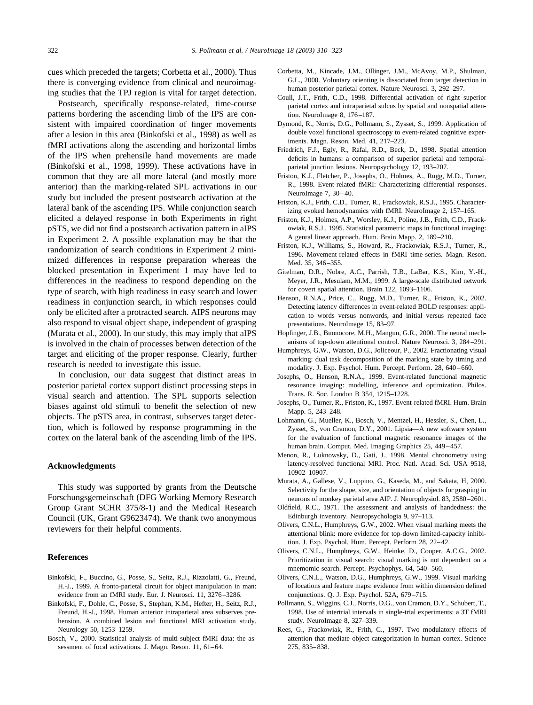<span id="page-12-0"></span>cues which preceded the targets; Corbetta et al., 2000). Thus there is converging evidence from clinical and neuroimaging studies that the TPJ region is vital for target detection.

Postsearch, specifically response-related, time-course patterns bordering the ascending limb of the IPS are consistent with impaired coordination of finger movements after a lesion in this area (Binkofski et al., 1998) as well as fMRI activations along the ascending and horizontal limbs of the IPS when prehensile hand movements are made (Binkofski et al., 1998, 1999). These activations have in common that they are all more lateral (and mostly more anterior) than the marking-related SPL activations in our study but included the present postsearch activation at the lateral bank of the ascending IPS. While conjunction search elicited a delayed response in both Experiments in right pSTS, we did not find a postsearch activation pattern in aIPS in Experiment 2. A possible explanation may be that the randomization of search conditions in Experiment 2 minimized differences in response preparation whereas the blocked presentation in Experiment 1 may have led to differences in the readiness to respond depending on the type of search, with high readiness in easy search and lower readiness in conjunction search, in which responses could only be elicited after a protracted search. AIPS neurons may also respond to visual object shape, independent of grasping (Murata et al., 2000). In our study, this may imply that aIPS is involved in the chain of processes betwen detection of the target and eliciting of the proper response. Clearly, further research is needed to investigate this issue.

In conclusion, our data suggest that distinct areas in posterior parietal cortex support distinct processing steps in visual search and attention. The SPL supports selection biases against old stimuli to benefit the selection of new objects. The pSTS area, in contrast, subserves target detection, which is followed by response programming in the cortex on the lateral bank of the ascending limb of the IPS.

## **Acknowledgments**

This study was supported by grants from the Deutsche Forschungsgemeinschaft (DFG Working Memory Research Group Grant SCHR 375/8-1) and the Medical Research Council (UK, Grant G9623474). We thank two anonymous reviewers for their helpful comments.

### **References**

- Binkofski, F., Buccino, G., Posse, S., Seitz, R.J., Rizzolatti, G., Freund, H.-J., 1999. A fronto-parietal circuit for object manipulation in man: evidence from an fMRI study. Eur. J. Neurosci. 11, 3276–3286.
- Binkofski, F., Dohle, C., Posse, S., Stephan, K.M., Hefter, H., Seitz, R.J., Freund, H.-J., 1998. Human anterior intraparietal area subserves prehension. A combined lesion and functional MRI activation study. Neurology 50, 1253–1259.
- Bosch, V., 2000. Statistical analysis of multi-subject fMRI data: the assessment of focal activations. J. Magn. Reson. 11, 61–64.
- Corbetta, M., Kincade, J.M., Ollinger, J.M., McAvoy, M.P., Shulman, G.L., 2000. Voluntary orienting is dissociated from target detection in human posterior parietal cortex. Nature Neurosci. 3, 292–297.
- Coull, J.T., Frith, C.D., 1998. Differential activation of right superior parietal cortex and intraparietal sulcus by spatial and nonspatial attention. NeuroImage 8, 176–187.
- Dymond, R., Norris, D.G., Pollmann, S., Zysset, S., 1999. Application of double voxel functional spectroscopy to event-related cognitive experiments. Magn. Reson. Med. 41, 217–223.
- Friedrich, F.J., Egly, R., Rafal, R.D., Beck, D., 1998. Spatial attention deficits in humans: a comparison of superior parietal and temporalparietal junction lesions. Neuropsychology 12, 193–207.
- Friston, K.J., Fletcher, P., Josephs, O., Holmes, A., Rugg, M.D., Turner, R., 1998. Event-related fMRI: Characterizing differential responses. NeuroImage 7, 30–40.
- Friston, K.J., Frith, C.D., Turner, R., Frackowiak, R.S.J., 1995. Characterizing evoked hemodynamics with fMRI. NeuroImage 2, 157–165.
- Friston, K.J., Holmes, A.P., Worsley, K.J., Poline, J.B., Frith, C.D., Frackowiak, R.S.J., 1995. Statistical parametric maps in functional imaging: A genral linear approach. Hum. Brain Mapp. 2, 189–210.
- Friston, K.J., Williams, S., Howard, R., Frackowiak, R.S.J., Turner, R., 1996. Movement-related effects in fMRI time-series. Magn. Reson. Med. 35, 346–355.
- Gitelman, D.R., Nobre, A.C., Parrish, T.B., LaBar, K.S., Kim, Y.-H., Meyer, J.R., Mesulam, M.M., 1999. A large-scale distributed network for covert spatial attention. Brain 122, 1093–1106.
- Henson, R.N.A., Price, C., Rugg, M.D., Turner, R., Friston, K., 2002. Detecting latency differences in event-related BOLD responses: application to words versus nonwords, and initial versus repeated face presentations. NeuroImage 15, 83–97.
- Hopfinger, J.B., Buonocore, M.H., Mangun, G.R., 2000. The neural mechanisms of top-down attentional control. Nature Neurosci. 3, 284–291.
- Humphreys, G.W., Watson, D.G., Joliceour, P., 2002. Fractionating visual marking: dual task decomposition of the marking state by timing and modality. J. Exp. Psychol. Hum. Percept. Perform. 28, 640–660.
- Josephs, O., Henson, R.N.A., 1999. Event-related functional magnetic resonance imaging: modelling, inference and optimization. Philos. Trans. R. Soc. London B 354, 1215–1228.
- Josephs, O., Turner, R., Friston, K., 1997. Event-related fMRI. Hum. Brain Mapp. 5, 243–248.
- Lohmann, G., Mueller, K., Bosch, V., Mentzel, H., Hessler, S., Chen, L., Zysset, S., von Cramon, D.Y., 2001. Lipsia—A new software system for the evaluation of functional magnetic resonance images of the human brain. Comput. Med. Imaging Graphics 25, 449–457.
- Menon, R., Luknowsky, D., Gati, J., 1998. Mental chronometry using latency-resolved functional MRI. Proc. Natl. Acad. Sci. USA 9518, 10902–10907.
- Murata, A., Gallese, V., Luppino, G., Kaseda, M., and Sakata, H, 2000. Selectivity for the shape, size, and orientation of objects for grasping in neurons of monkey parietal area AIP. J. Neurophysiol. 83, 2580–2601.
- Oldfield, R.C., 1971. The assessment and analysis of handedness: the Edinburgh inventory. Neuropsychologia 9, 97–113.
- Olivers, C.N.L., Humphreys, G.W., 2002. When visual marking meets the attentional blink: more evidence for top-down limited-capacity inhibition. J. Exp. Psychol. Hum. Percept. Perform 28, 22–42.
- Olivers, C.N.L., Humphreys, G.W., Heinke, D., Cooper, A.C.G., 2002. Prioritization in visual search: visual marking is not dependent on a mnemomic search. Percept. Psychophys. 64, 540–560.
- Olivers, C.N.L., Watson, D.G., Humphreys, G.W., 1999. Visual marking of locations and feature maps: evidence from within dimension defined conjunctions. Q. J. Exp. Psychol. 52A, 679–715.
- Pollmann, S., Wiggins, C.J., Norris, D.G., von Cramon, D.Y., Schubert, T., 1998. Use of intertrial intervals in single-trial experiments: a 3T fMRI study. NeuroImage 8, 327–339.
- Rees, G., Frackowiak, R., Frith, C., 1997. Two modulatory effects of attention that mediate object categorization in human cortex. Science 275, 835–838.